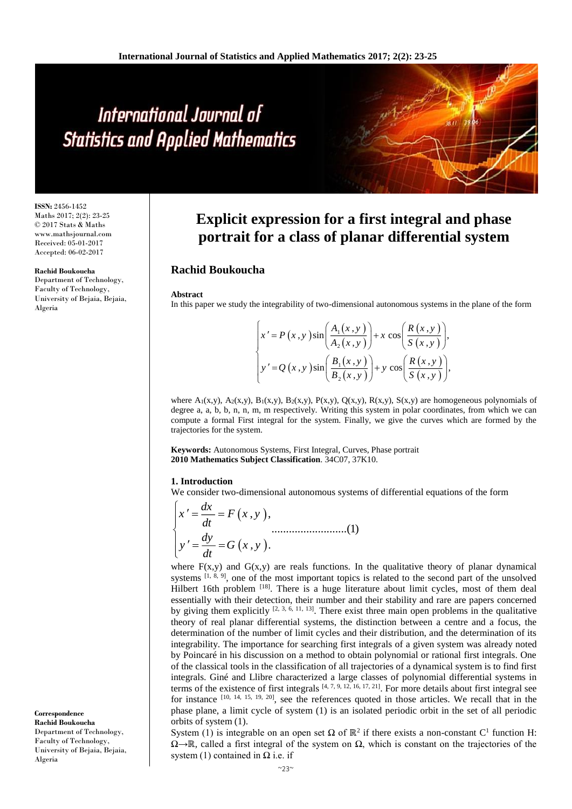# International Journal of **Statistics and Applied Mathematics**

**ISSN:** 2456-1452 Maths 2017; 2(2): 23-25 © 2017 Stats & Maths www.mathsjournal.com Received: 05-01-2017 Accepted: 06-02-2017

#### **Rachid Boukoucha**

Department of Technology, Faculty of Technology, University of Bejaia, Bejaia, Algeria

**Correspondence Rachid Boukoucha** Department of Technology, Faculty of Technology, University of Bejaia, Bejaia, Algeria

# **Explicit expression for a first integral and phase portrait for a class of planar differential system**

# **Rachid Boukoucha**

#### **Abstract**

In this paper we study the integrability of two-dimensional autonomous systems in the plane of the form

$$
\begin{cases}\nx' = P(x, y) \sin\left(\frac{A_1(x, y)}{A_2(x, y)}\right) + x \cos\left(\frac{R(x, y)}{S(x, y)}\right), \\
y' = Q(x, y) \sin\left(\frac{B_1(x, y)}{B_2(x, y)}\right) + y \cos\left(\frac{R(x, y)}{S(x, y)}\right),\n\end{cases}
$$

where  $A_1(x,y)$ ,  $A_2(x,y)$ ,  $B_1(x,y)$ ,  $B_2(x,y)$ ,  $P(x,y)$ ,  $Q(x,y)$ ,  $R(x,y)$ ,  $S(x,y)$  are homogeneous polynomials of degree a, a, b, b, n, n, m, m respectively. Writing this system in polar coordinates, from which we can compute a formal First integral for the system. Finally, we give the curves which are formed by the trajectories for the system.

**Keywords:** Autonomous Systems, First Integral, Curves, Phase portrait **2010 Mathematics Subject Classification**. 34C07, 37K10.

## **1. Introduction**

We consider two-dimensional autonomous systems of differential equations of the form

$$
\begin{cases}\nx' = \frac{dx}{dt} = F(x, y), \ny' = \frac{dy}{dt} = G(x, y). \n\end{cases}
$$
............(1)

where  $F(x,y)$  and  $G(x,y)$  are reals functions. In the qualitative theory of planar dynamical systems  $[1, 8, 9]$ , one of the most important topics is related to the second part of the unsolved Hilbert 16th problem <sup>[18]</sup>. There is a huge literature about limit cycles, most of them deal essentially with their detection, their number and their stability and rare are papers concerned by giving them explicitly  $[2, 3, 6, 11, 13]$ . There exist three main open problems in the qualitative theory of real planar differential systems, the distinction between a centre and a focus, the determination of the number of limit cycles and their distribution, and the determination of its integrability. The importance for searching first integrals of a given system was already noted by Poincaré in his discussion on a method to obtain polynomial or rational first integrals. One of the classical tools in the classification of all trajectories of a dynamical system is to find first integrals. Giné and Llibre characterized a large classes of polynomial differential systems in terms of the existence of first integrals  $[4, 7, 9, 12, 16, 17, 21]$ . For more details about first integral see for instance [10, 14, 15, 19, 20], see the references quoted in those articles. We recall that in the phase plane, a limit cycle of system (1) is an isolated periodic orbit in the set of all periodic orbits of system (1).

System (1) is integrable on an open set  $\Omega$  of  $\mathbb{R}^2$  if there exists a non-constant C<sup>1</sup> function H:  $\Omega \rightarrow \mathbb{R}$ , called a first integral of the system on  $\Omega$ , which is constant on the trajectories of the system (1) contained in  $\Omega$  i.e. if

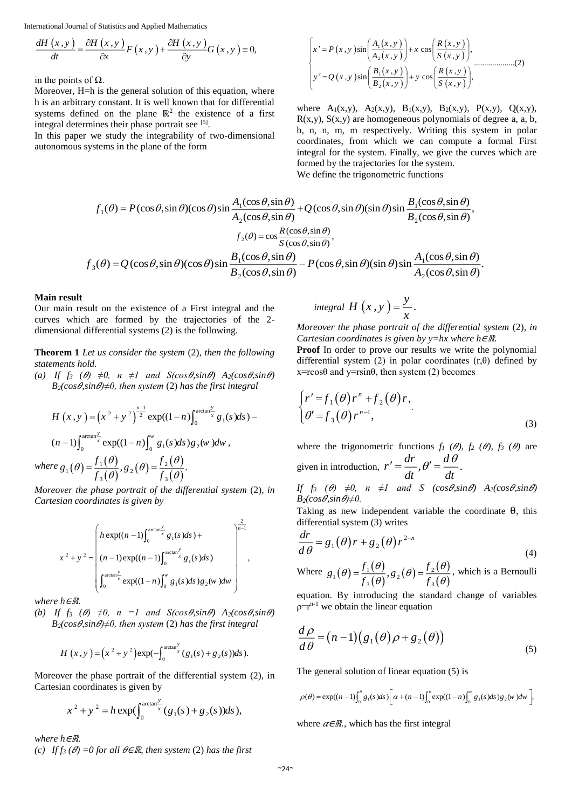International Journal of Statistics and Applied Mathematics

$$
\frac{dH(x,y)}{dt} = \frac{\partial H(x,y)}{\partial x} F(x,y) + \frac{\partial H(x,y)}{\partial y} G(x,y) \equiv 0,
$$

in the points of  $Ω$ .

Moreover, H=h is the general solution of this equation, where h is an arbitrary constant. It is well known that for differential systems defined on the plane  $\mathbb{R}^2$  the existence of a first integral determines their phase portrait see [5].

In this paper we study the integrability of two-dimensional autonomous systems in the plane of the form

$$
\begin{cases}\nx' = P(x, y) \sin\left(\frac{A_1(x, y)}{A_2(x, y)}\right) + x \cos\left(\frac{R(x, y)}{S(x, y)}\right), \\
y' = Q(x, y) \sin\left(\frac{B_1(x, y)}{B_2(x, y)}\right) + y \cos\left(\frac{R(x, y)}{S(x, y)}\right),\n\end{cases}
$$
\n
$$
(2)
$$

where  $A_1(x,y)$ ,  $A_2(x,y)$ ,  $B_1(x,y)$ ,  $B_2(x,y)$ ,  $P(x,y)$ ,  $Q(x,y)$ ,  $R(x,y)$ ,  $S(x,y)$  are homogeneous polynomials of degree a, a, b, b, n, n, m, m respectively. Writing this system in polar coordinates, from which we can compute a formal First integral for the system. Finally, we give the curves which are formed by the trajectories for the system. We define the trigonometric functions

$$
f_1(\theta) = P(\cos\theta, \sin\theta)(\cos\theta)\sin\frac{A_1(\cos\theta, \sin\theta)}{A_2(\cos\theta, \sin\theta)} + Q(\cos\theta, \sin\theta)(\sin\theta)\sin\frac{B_1(\cos\theta, \sin\theta)}{B_2(\cos\theta, \sin\theta)},
$$

$$
f_2(\theta) = \cos\frac{R(\cos\theta, \sin\theta)}{S(\cos\theta, \sin\theta)},
$$

$$
f_3(\theta) = Q(\cos\theta, \sin\theta)(\cos\theta)\sin\frac{B_1(\cos\theta, \sin\theta)}{B_2(\cos\theta, \sin\theta)} - P(\cos\theta, \sin\theta)(\sin\theta)\sin\frac{A_1(\cos\theta, \sin\theta)}{A_2(\cos\theta, \sin\theta)}.
$$

### **Main result**

Our main result on the existence of a First integral and the curves which are formed by the trajectories of the 2 dimensional differential systems (2) is the following.

**Theorem 1** *Let us consider the system* (2)*, then the following statements hold.*

*(a) If f<sub>3</sub>*  $(\theta) \neq 0$ ,  $n \neq 1$  *and*  $S(cos \theta, sin \theta)$   $A_2(cos \theta, sin \theta)$  $B_2(cos \theta, sin \theta) \neq 0$ , then system (2) has the first integral

$$
H(x,y) = (x^{2} + y^{2})^{\frac{n-1}{2}} \exp((1-n)\int_{0}^{\arctan{\frac{y}{x}}} g_{1}(s)ds) - (n-1)\int_{0}^{\arctan{\frac{y}{x}}} \exp((1-n)\int_{0}^{w} g_{1}(s)ds) g_{2}(w)dw,
$$
  
where  $g_{1}(\theta) = \frac{f_{1}(\theta)}{f_{3}(\theta)}, g_{2}(\theta) = \frac{f_{2}(\theta)}{f_{3}(\theta)}.$ 

*Moreover the phase portrait of the differential system (2), in Cartesian coordinates is given by*

$$
x^{2} + y^{2} = \left( h \exp((n-1)\int_{0}^{\arctan{\frac{y}{x}}} g_{1}(s)ds) + x^{2} + y^{2} = \left( (n-1) \exp((n-1)\int_{0}^{\arctan{\frac{y}{x}}} g_{1}(s)ds) \right) + \int_{0}^{\arctan{\frac{y}{x}}} \exp((1-n)\int_{0}^{w} g_{1}(s)ds)g_{2}(w)dw \right)^{1/2},
$$

*where h*∈ℝ*.*

 $\boldsymbol{u}$ 

*(b) If*  $f_3$  *(* $\theta$ *)*  $\neq 0$ *,*  $n =1$  *and*  $S(cos \theta, sin \theta)$   $A_2(cos \theta, sin \theta)$  $B_2(cos\theta, sin\theta) \neq 0$ , then system (2) has the first integral

$$
H(x,y) = (x^{2} + y^{2}) \exp(-\int_{0}^{\arctan{\frac{y}{x}}} (g_{1}(s) + g_{2}(s))ds).
$$

Moreover the phase portrait of the differential system (2), in Cartesian coordinates is given by

$$
x^{2} + y^{2} = h \exp(\int_{0}^{\arctan{\frac{y}{x}}} (g_{1}(s) + g_{2}(s))ds),
$$

*where h*∈ℝ*.*

*(c) If f<sub>3</sub>*  $(\theta) = 0$  *for all*  $\theta \in \mathbb{R}$ *, then system (2) has the first* 

$$
integral H(x, y) = \frac{y}{x}.
$$

*Moreover the phase portrait of the differential system* (2)*, in Cartesian coordinates is given by y=hx where h*∈ℝ*.*

**Proof** In order to prove our results we write the polynomial differential system (2) in polar coordinates  $(r, \theta)$  defined by  $x = r \cos\theta$  and  $y = r \sin\theta$ , then system (2) becomes

$$
\begin{cases} r' = f_1(\theta) r^n + f_2(\theta) r, \\ \theta' = f_3(\theta) r^{n-1}, \end{cases}
$$
\n(3)

where the trigonometric functions  $f_1$  ( $\theta$ ),  $f_2$  ( $\theta$ ),  $f_3$  ( $\theta$ ) are  $d<sub>1</sub>$  $\overline{d}$ 

given in introduction, 
$$
r' = \frac{dr}{dt}
$$
,  $\theta' = \frac{dv}{dt}$ .

*If*  $f_3$  ( $\theta$ )  $\neq 0$ ,  $n \neq 1$  and S (cos $\theta$ , sin  $\theta$ )  $A_2$ (cos $\theta$ , sin  $\theta$ )  $B_2(cos \theta, sin \theta) \neq 0$ .

Taking as new independent variable the coordinate θ, this differential system (3) writes

$$
\frac{dr}{d\theta} = g_1(\theta) r + g_2(\theta) r^{2-n}
$$
\n(4)

Where 
$$
g_1(\theta) = \frac{f_1(\theta)}{f_3(\theta)}, g_2(\theta) = \frac{f_2(\theta)}{f_3(\theta)}
$$
, which is a Bernoulli

equation. By introducing the standard change of variables  $p=r^{n-1}$  we obtain the linear equation

$$
\frac{d\rho}{d\theta} = (n-1)(g_1(\theta)\rho + g_2(\theta))
$$
\n(5)

The general solution of linear equation (5) is

$$
\rho(\theta) = \exp((n-1)\int_0^{\theta} g_1(s)ds) \left[\alpha + (n-1)\int_0^{\theta} \exp((1-n)\int_0^w g_1(s)ds)g_2(w)dw\right],
$$

where  $\alpha \in \mathbb{R}$ , which has the first integral